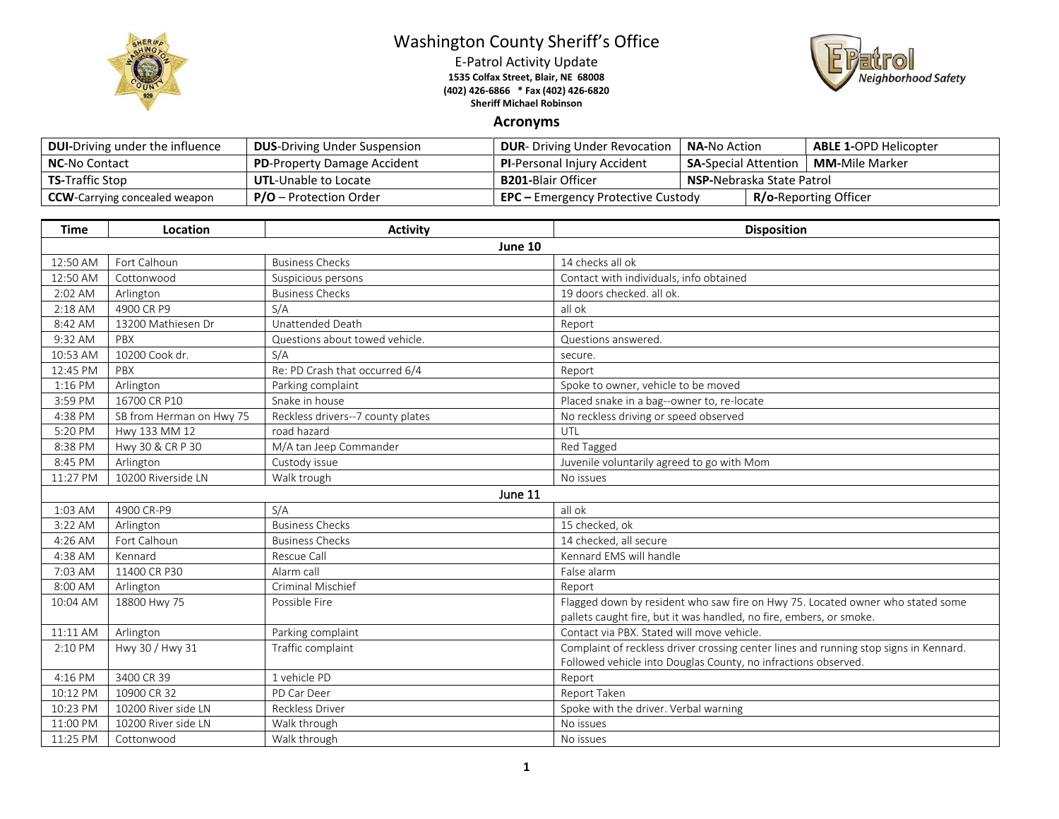

## Washington County Sheriff's Office

E-Patrol Activity Update **1535 Colfax Street, Blair, NE 68008 (402) 426-6866 \* Fax (402) 426-6820 Sheriff Michael Robinson**



## **Acronyms**

| <b>DUI-Driving under the influence</b> | <b>DUS-Driving Under Suspension</b> | <b>DUR-</b> Driving Under Revocation      | <b>NA-</b> No Action                                  |  | <b>ABLE 1-OPD Helicopter</b> |
|----------------------------------------|-------------------------------------|-------------------------------------------|-------------------------------------------------------|--|------------------------------|
| <b>NC-No Contact</b>                   | <b>PD-Property Damage Accident</b>  | <b>PI-Personal Injury Accident</b>        | <b>MM-</b> Mile Marker<br><b>SA-Special Attention</b> |  |                              |
| <b>TS-Traffic Stop</b>                 | <b>UTL-Unable to Locate</b>         | <b>B201-</b> Blair Officer                | <b>NSP-</b> Nebraska State Patrol                     |  |                              |
| <b>CCW</b> -Carrying concealed weapon  | $P/O -$ Protection Order            | <b>EPC</b> – Emergency Protective Custody |                                                       |  | <b>R/o-Reporting Officer</b> |

| <b>Time</b> | Location                 | <b>Activity</b>                   | <b>Disposition</b>                                                                    |  |  |  |
|-------------|--------------------------|-----------------------------------|---------------------------------------------------------------------------------------|--|--|--|
|             | June 10                  |                                   |                                                                                       |  |  |  |
| 12:50 AM    | Fort Calhoun             | <b>Business Checks</b>            | 14 checks all ok                                                                      |  |  |  |
| 12:50 AM    | Cottonwood               | Suspicious persons                | Contact with individuals, info obtained                                               |  |  |  |
| 2:02 AM     | Arlington                | <b>Business Checks</b>            | 19 doors checked, all ok.                                                             |  |  |  |
| $2:18$ AM   | 4900 CR P9               | S/A                               | all ok                                                                                |  |  |  |
| 8:42 AM     | 13200 Mathiesen Dr       | Unattended Death                  | Report                                                                                |  |  |  |
| 9:32 AM     | PBX                      | Questions about towed vehicle.    | Questions answered.                                                                   |  |  |  |
| 10:53 AM    | 10200 Cook dr.           | S/A                               | secure.                                                                               |  |  |  |
| 12:45 PM    | PBX                      | Re: PD Crash that occurred 6/4    | Report                                                                                |  |  |  |
| 1:16 PM     | Arlington                | Parking complaint                 | Spoke to owner, vehicle to be moved                                                   |  |  |  |
| 3:59 PM     | 16700 CR P10             | Snake in house                    | Placed snake in a bag--owner to, re-locate                                            |  |  |  |
| 4:38 PM     | SB from Herman on Hwy 75 | Reckless drivers--7 county plates | No reckless driving or speed observed                                                 |  |  |  |
| 5:20 PM     | Hwy 133 MM 12            | road hazard                       | UTL                                                                                   |  |  |  |
| 8:38 PM     | Hwy 30 & CR P 30         | M/A tan Jeep Commander            | Red Tagged                                                                            |  |  |  |
| 8:45 PM     | Arlington                | Custody issue                     | Juvenile voluntarily agreed to go with Mom                                            |  |  |  |
| 11:27 PM    | 10200 Riverside LN       | Walk trough                       | No issues                                                                             |  |  |  |
|             |                          | June 11                           |                                                                                       |  |  |  |
| 1:03 AM     | 4900 CR-P9               | S/A                               | all ok                                                                                |  |  |  |
| 3:22 AM     | Arlington                | <b>Business Checks</b>            | 15 checked, ok                                                                        |  |  |  |
| 4:26 AM     | Fort Calhoun             | <b>Business Checks</b>            | 14 checked, all secure                                                                |  |  |  |
| 4:38 AM     | Kennard                  | Rescue Call                       | Kennard EMS will handle                                                               |  |  |  |
| 7:03 AM     | 11400 CR P30             | Alarm call                        | False alarm                                                                           |  |  |  |
| 8:00 AM     | Arlington                | Criminal Mischief                 | Report                                                                                |  |  |  |
| 10:04 AM    | 18800 Hwy 75             | Possible Fire                     | Flagged down by resident who saw fire on Hwy 75. Located owner who stated some        |  |  |  |
|             |                          |                                   | pallets caught fire, but it was handled, no fire, embers, or smoke.                   |  |  |  |
| 11:11 AM    | Arlington                | Parking complaint                 | Contact via PBX. Stated will move vehicle.                                            |  |  |  |
| 2:10 PM     | Hwy 30 / Hwy 31          | Traffic complaint                 | Complaint of reckless driver crossing center lines and running stop signs in Kennard. |  |  |  |
|             |                          |                                   | Followed vehicle into Douglas County, no infractions observed.                        |  |  |  |
| 4:16 PM     | 3400 CR 39               | 1 vehicle PD                      | Report                                                                                |  |  |  |
| 10:12 PM    | 10900 CR 32              | PD Car Deer                       | Report Taken                                                                          |  |  |  |
| 10:23 PM    | 10200 River side LN      | <b>Reckless Driver</b>            | Spoke with the driver. Verbal warning                                                 |  |  |  |
| 11:00 PM    | 10200 River side LN      | Walk through                      | No issues                                                                             |  |  |  |
| 11:25 PM    | Cottonwood               | Walk through                      | No issues                                                                             |  |  |  |